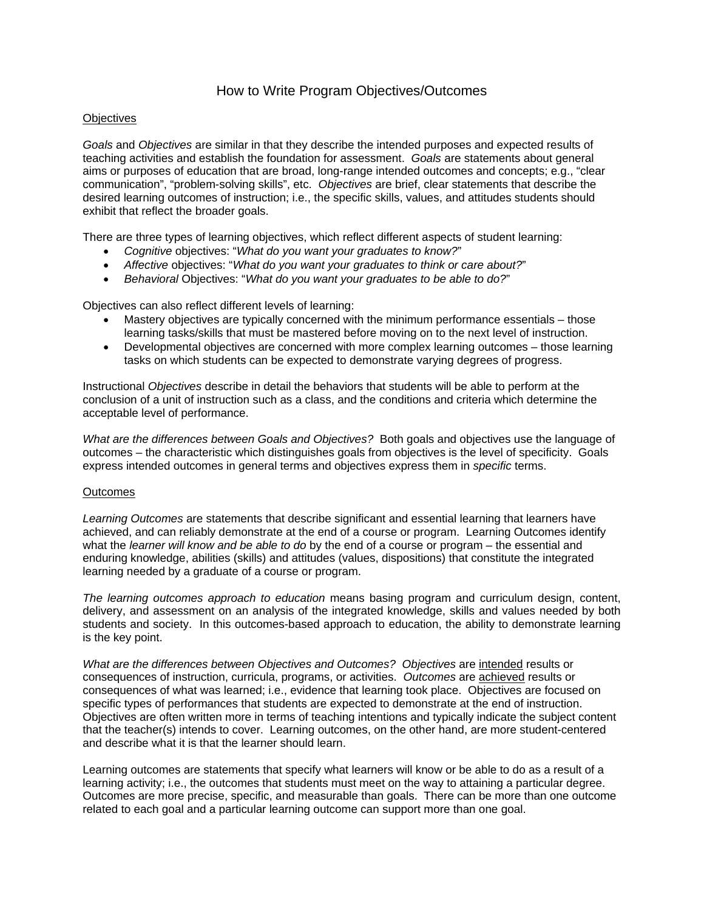# How to Write Program Objectives/Outcomes

#### **Objectives**

*Goals* and *Objectives* are similar in that they describe the intended purposes and expected results of teaching activities and establish the foundation for assessment. *Goals* are statements about general aims or purposes of education that are broad, long-range intended outcomes and concepts; e.g., "clear communication", "problem-solving skills", etc. *Objectives* are brief, clear statements that describe the desired learning outcomes of instruction; i.e., the specific skills, values, and attitudes students should exhibit that reflect the broader goals.

There are three types of learning objectives, which reflect different aspects of student learning:

- *Cognitive* objectives: "*What do you want your graduates to know?*"
- *Affective* objectives: "*What do you want your graduates to think or care about?*"
- *Behavioral* Objectives: "*What do you want your graduates to be able to do?*"

Objectives can also reflect different levels of learning:

- Mastery objectives are typically concerned with the minimum performance essentials those learning tasks/skills that must be mastered before moving on to the next level of instruction.
- Developmental objectives are concerned with more complex learning outcomes those learning tasks on which students can be expected to demonstrate varying degrees of progress.

Instructional *Objectives* describe in detail the behaviors that students will be able to perform at the conclusion of a unit of instruction such as a class, and the conditions and criteria which determine the acceptable level of performance.

*What are the differences between Goals and Objectives?* Both goals and objectives use the language of outcomes – the characteristic which distinguishes goals from objectives is the level of specificity. Goals express intended outcomes in general terms and objectives express them in *specific* terms.

#### **Outcomes**

*Learning Outcomes* are statements that describe significant and essential learning that learners have achieved, and can reliably demonstrate at the end of a course or program. Learning Outcomes identify what the *learner will know and be able to do* by the end of a course or program – the essential and enduring knowledge, abilities (skills) and attitudes (values, dispositions) that constitute the integrated learning needed by a graduate of a course or program.

*The learning outcomes approach to education* means basing program and curriculum design, content, delivery, and assessment on an analysis of the integrated knowledge, skills and values needed by both students and society. In this outcomes-based approach to education, the ability to demonstrate learning is the key point.

*What are the differences between Objectives and Outcomes? Objectives* are intended results or consequences of instruction, curricula, programs, or activities. *Outcomes* are achieved results or consequences of what was learned; i.e., evidence that learning took place. Objectives are focused on specific types of performances that students are expected to demonstrate at the end of instruction. Objectives are often written more in terms of teaching intentions and typically indicate the subject content that the teacher(s) intends to cover. Learning outcomes, on the other hand, are more student-centered and describe what it is that the learner should learn.

Learning outcomes are statements that specify what learners will know or be able to do as a result of a learning activity; i.e., the outcomes that students must meet on the way to attaining a particular degree. Outcomes are more precise, specific, and measurable than goals. There can be more than one outcome related to each goal and a particular learning outcome can support more than one goal.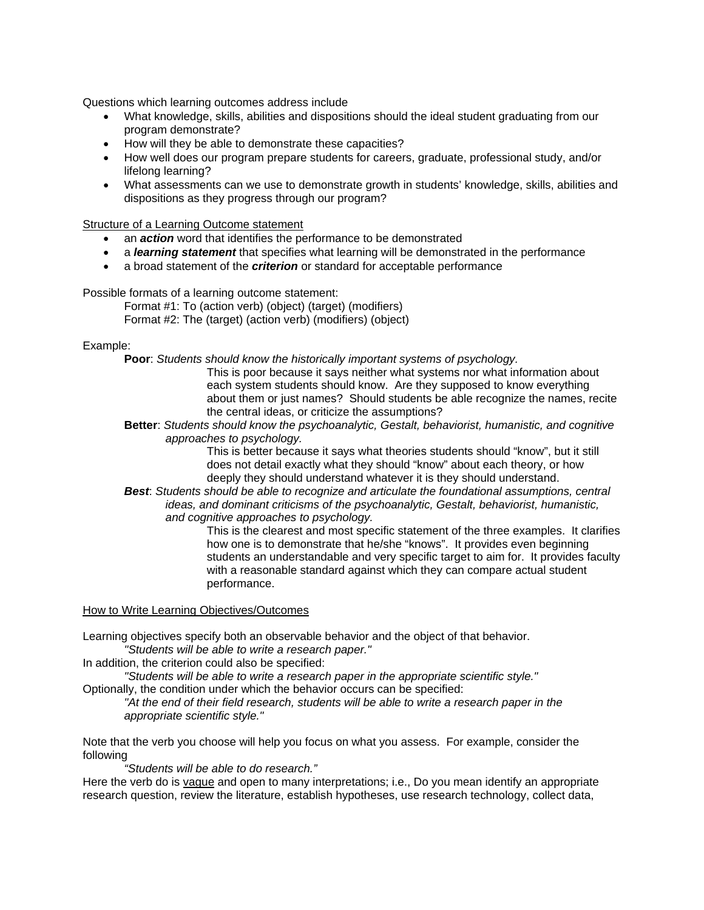Questions which learning outcomes address include

- What knowledge, skills, abilities and dispositions should the ideal student graduating from our program demonstrate?
- How will they be able to demonstrate these capacities?
- How well does our program prepare students for careers, graduate, professional study, and/or lifelong learning?
- What assessments can we use to demonstrate growth in students' knowledge, skills, abilities and dispositions as they progress through our program?

Structure of a Learning Outcome statement

- an *action* word that identifies the performance to be demonstrated
- a *learning statement* that specifies what learning will be demonstrated in the performance
- a broad statement of the *criterion* or standard for acceptable performance

Possible formats of a learning outcome statement:

Format #1: To (action verb) (object) (target) (modifiers) Format #2: The (target) (action verb) (modifiers) (object)

#### Example:

**Poor**: *Students should know the historically important systems of psychology.*

This is poor because it says neither what systems nor what information about each system students should know. Are they supposed to know everything about them or just names? Should students be able recognize the names, recite the central ideas, or criticize the assumptions?

**Better**: *Students should know the psychoanalytic, Gestalt, behaviorist, humanistic, and cognitive approaches to psychology.* 

This is better because it says what theories students should "know", but it still does not detail exactly what they should "know" about each theory, or how deeply they should understand whatever it is they should understand.

*Best*: *Students should be able to recognize and articulate the foundational assumptions, central ideas, and dominant criticisms of the psychoanalytic, Gestalt, behaviorist, humanistic, and cognitive approaches to psychology.*

> This is the clearest and most specific statement of the three examples. It clarifies how one is to demonstrate that he/she "knows". It provides even beginning students an understandable and very specific target to aim for. It provides faculty with a reasonable standard against which they can compare actual student performance.

How to Write Learning Objectives/Outcomes

Learning objectives specify both an observable behavior and the object of that behavior. *"Students will be able to write a research paper."* 

In addition, the criterion could also be specified:

*"Students will be able to write a research paper in the appropriate scientific style."* 

Optionally, the condition under which the behavior occurs can be specified:

*"At the end of their field research, students will be able to write a research paper in the appropriate scientific style."* 

Note that the verb you choose will help you focus on what you assess. For example, consider the following

*"Students will be able to do research."* 

Here the verb do is vague and open to many interpretations; i.e., Do you mean identify an appropriate research question, review the literature, establish hypotheses, use research technology, collect data,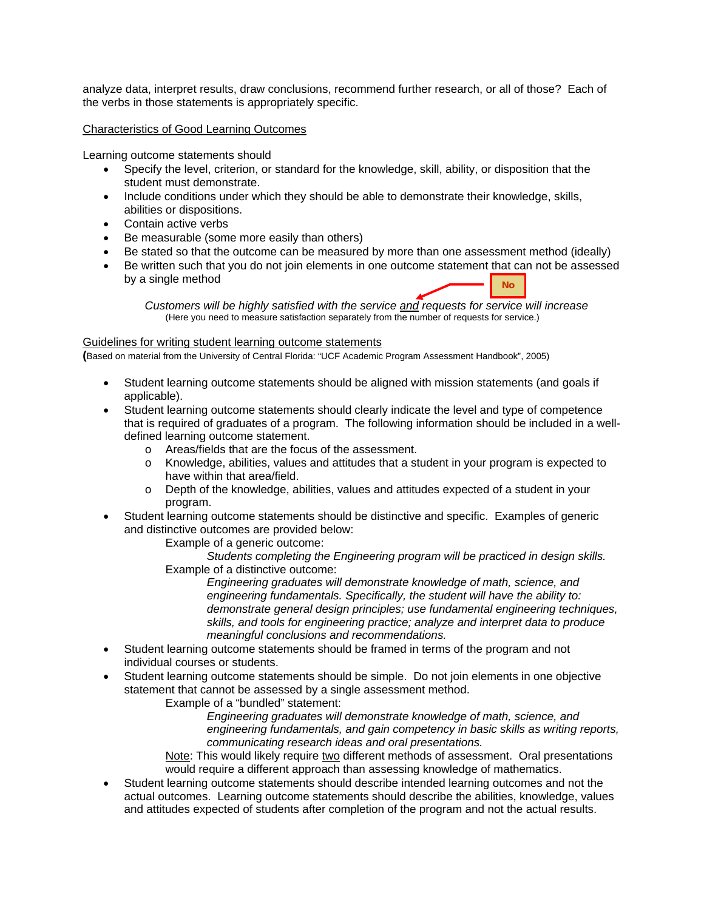analyze data, interpret results, draw conclusions, recommend further research, or all of those? Each of the verbs in those statements is appropriately specific.

Characteristics of Good Learning Outcomes

Learning outcome statements should

- Specify the level, criterion, or standard for the knowledge, skill, ability, or disposition that the student must demonstrate.
- Include conditions under which they should be able to demonstrate their knowledge, skills, abilities or dispositions.
- Contain active verbs
- Be measurable (some more easily than others)
- Be stated so that the outcome can be measured by more than one assessment method (ideally)
- Be written such that you do not join elements in one outcome statement that can not be assessed by a single method **No**

*Customers will be highly satisfied with the service and requests for service will increase*  (Here you need to measure satisfaction separately from the number of requests for service.)

#### Guidelines for writing student learning outcome statements

**(**Based on material from the University of Central Florida: "UCF Academic Program Assessment Handbook", 2005)

- Student learning outcome statements should be aligned with mission statements (and goals if applicable).
- Student learning outcome statements should clearly indicate the level and type of competence that is required of graduates of a program. The following information should be included in a welldefined learning outcome statement.
	- o Areas/fields that are the focus of the assessment.
	- o Knowledge, abilities, values and attitudes that a student in your program is expected to have within that area/field.
	- o Depth of the knowledge, abilities, values and attitudes expected of a student in your program.
- Student learning outcome statements should be distinctive and specific. Examples of generic and distinctive outcomes are provided below:
	- Example of a generic outcome:

*Students completing the Engineering program will be practiced in design skills.*  Example of a distinctive outcome:

*Engineering graduates will demonstrate knowledge of math, science, and engineering fundamentals. Specifically, the student will have the ability to: demonstrate general design principles; use fundamental engineering techniques, skills, and tools for engineering practice; analyze and interpret data to produce meaningful conclusions and recommendations.*

- Student learning outcome statements should be framed in terms of the program and not individual courses or students.
- Student learning outcome statements should be simple. Do not join elements in one objective statement that cannot be assessed by a single assessment method.

Example of a "bundled" statement:

*Engineering graduates will demonstrate knowledge of math, science, and engineering fundamentals, and gain competency in basic skills as writing reports, communicating research ideas and oral presentations.*

Note: This would likely require two different methods of assessment. Oral presentations would require a different approach than assessing knowledge of mathematics.

• Student learning outcome statements should describe intended learning outcomes and not the actual outcomes. Learning outcome statements should describe the abilities, knowledge, values and attitudes expected of students after completion of the program and not the actual results.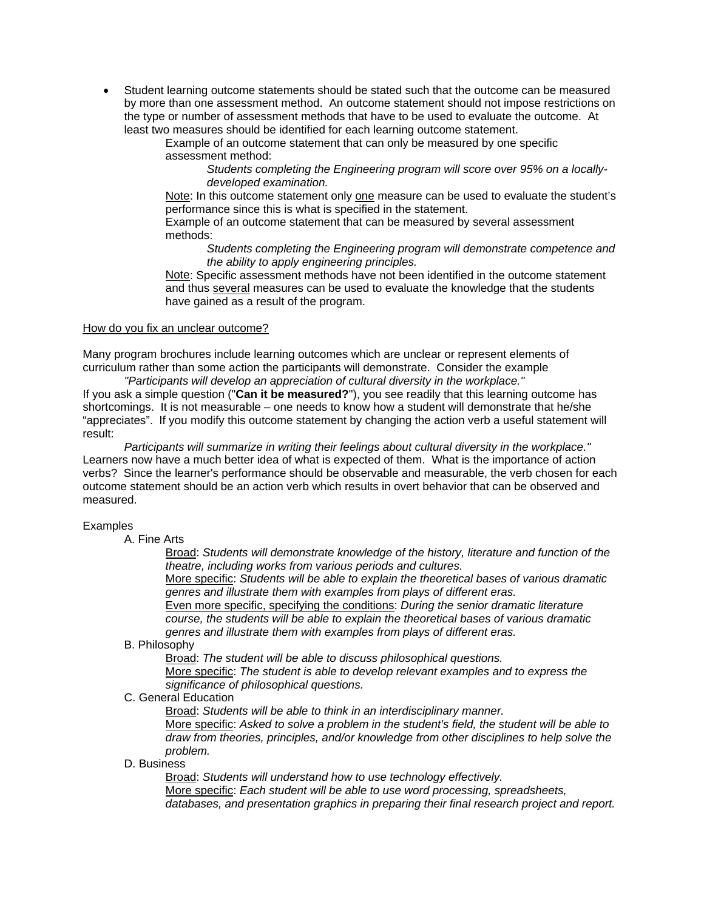• Student learning outcome statements should be stated such that the outcome can be measured by more than one assessment method. An outcome statement should not impose restrictions on the type or number of assessment methods that have to be used to evaluate the outcome. At least two measures should be identified for each learning outcome statement.

Example of an outcome statement that can only be measured by one specific assessment method:

*Students completing the Engineering program will score over 95% on a locallydeveloped examination.* 

Note: In this outcome statement only one measure can be used to evaluate the student's performance since this is what is specified in the statement.

Example of an outcome statement that can be measured by several assessment methods:

#### *Students completing the Engineering program will demonstrate competence and the ability to apply engineering principles.*

Note: Specific assessment methods have not been identified in the outcome statement and thus several measures can be used to evaluate the knowledge that the students have gained as a result of the program.

#### How do you fix an unclear outcome?

Many program brochures include learning outcomes which are unclear or represent elements of curriculum rather than some action the participants will demonstrate. Consider the example *"Participants will develop an appreciation of cultural diversity in the workplace."* 

If you ask a simple question ("**Can it be measured?**"), you see readily that this learning outcome has shortcomings. It is not measurable – one needs to know how a student will demonstrate that he/she "appreciates". If you modify this outcome statement by changing the action verb a useful statement will result:

*Participants will summarize in writing their feelings about cultural diversity in the workplace."*  Learners now have a much better idea of what is expected of them. What is the importance of action verbs? Since the learner's performance should be observable and measurable, the verb chosen for each outcome statement should be an action verb which results in overt behavior that can be observed and measured.

#### Examples

## A. Fine Arts

Broad: *Students will demonstrate knowledge of the history, literature and function of the theatre, including works from various periods and cultures.* 

More specific: *Students will be able to explain the theoretical bases of various dramatic genres and illustrate them with examples from plays of different eras.* 

Even more specific, specifying the conditions: *During the senior dramatic literature course, the students will be able to explain the theoretical bases of various dramatic genres and illustrate them with examples from plays of different eras.* 

#### B. Philosophy

Broad: *The student will be able to discuss philosophical questions.*

More specific: *The student is able to develop relevant examples and to express the significance of philosophical questions.* 

C. General Education

Broad: *Students will be able to think in an interdisciplinary manner.* 

More specific: *Asked to solve a problem in the student's field, the student will be able to draw from theories, principles, and/or knowledge from other disciplines to help solve the problem.* 

D. Business

Broad: *Students will understand how to use technology effectively.*  More specific: *Each student will be able to use word processing, spreadsheets, databases, and presentation graphics in preparing their final research project and report.*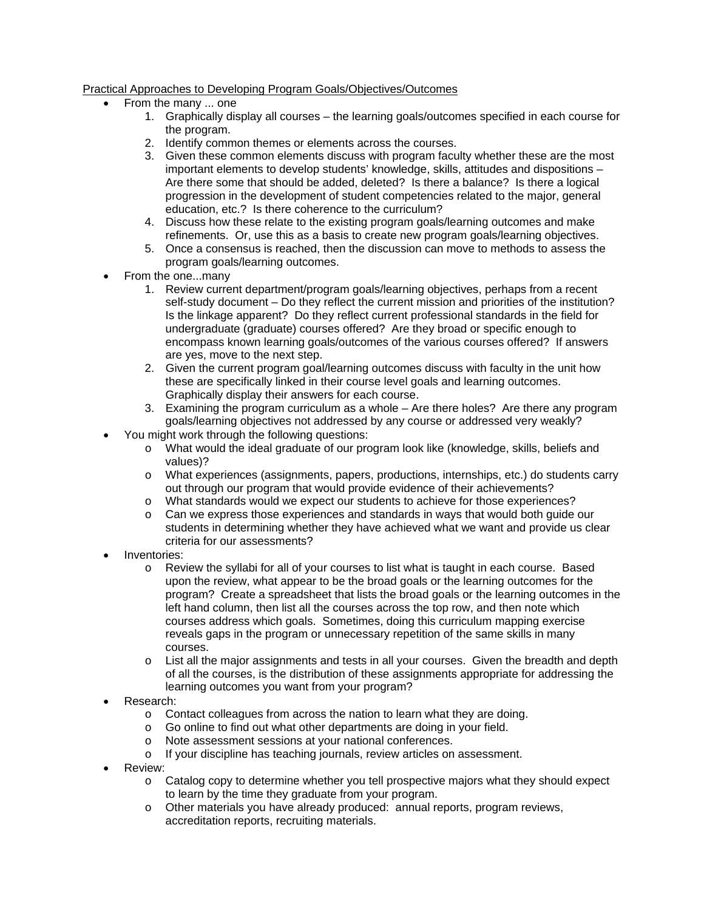# Practical Approaches to Developing Program Goals/Objectives/Outcomes

- From the many ... one
	- 1. Graphically display all courses the learning goals/outcomes specified in each course for the program.
	- 2. Identify common themes or elements across the courses.
	- 3. Given these common elements discuss with program faculty whether these are the most important elements to develop students' knowledge, skills, attitudes and dispositions – Are there some that should be added, deleted? Is there a balance? Is there a logical progression in the development of student competencies related to the major, general education, etc.? Is there coherence to the curriculum?
	- 4. Discuss how these relate to the existing program goals/learning outcomes and make refinements. Or, use this as a basis to create new program goals/learning objectives.
	- 5. Once a consensus is reached, then the discussion can move to methods to assess the program goals/learning outcomes.
- From the one...many
	- 1. Review current department/program goals/learning objectives, perhaps from a recent self-study document – Do they reflect the current mission and priorities of the institution? Is the linkage apparent? Do they reflect current professional standards in the field for undergraduate (graduate) courses offered? Are they broad or specific enough to encompass known learning goals/outcomes of the various courses offered? If answers are yes, move to the next step.
	- 2. Given the current program goal/learning outcomes discuss with faculty in the unit how these are specifically linked in their course level goals and learning outcomes. Graphically display their answers for each course.
	- 3. Examining the program curriculum as a whole Are there holes? Are there any program goals/learning objectives not addressed by any course or addressed very weakly?
- You might work through the following questions:
	- o What would the ideal graduate of our program look like (knowledge, skills, beliefs and values)?
	- o What experiences (assignments, papers, productions, internships, etc.) do students carry out through our program that would provide evidence of their achievements?
	- o What standards would we expect our students to achieve for those experiences?
	- o Can we express those experiences and standards in ways that would both guide our students in determining whether they have achieved what we want and provide us clear criteria for our assessments?
- Inventories:
	- o Review the syllabi for all of your courses to list what is taught in each course. Based upon the review, what appear to be the broad goals or the learning outcomes for the program? Create a spreadsheet that lists the broad goals or the learning outcomes in the left hand column, then list all the courses across the top row, and then note which courses address which goals. Sometimes, doing this curriculum mapping exercise reveals gaps in the program or unnecessary repetition of the same skills in many courses.
	- o List all the major assignments and tests in all your courses. Given the breadth and depth of all the courses, is the distribution of these assignments appropriate for addressing the learning outcomes you want from your program?
- Research:
	- o Contact colleagues from across the nation to learn what they are doing.
	- o Go online to find out what other departments are doing in your field.
	- o Note assessment sessions at your national conferences.
	- o If your discipline has teaching journals, review articles on assessment.
- Review:
	- o Catalog copy to determine whether you tell prospective majors what they should expect to learn by the time they graduate from your program.
	- o Other materials you have already produced: annual reports, program reviews, accreditation reports, recruiting materials.